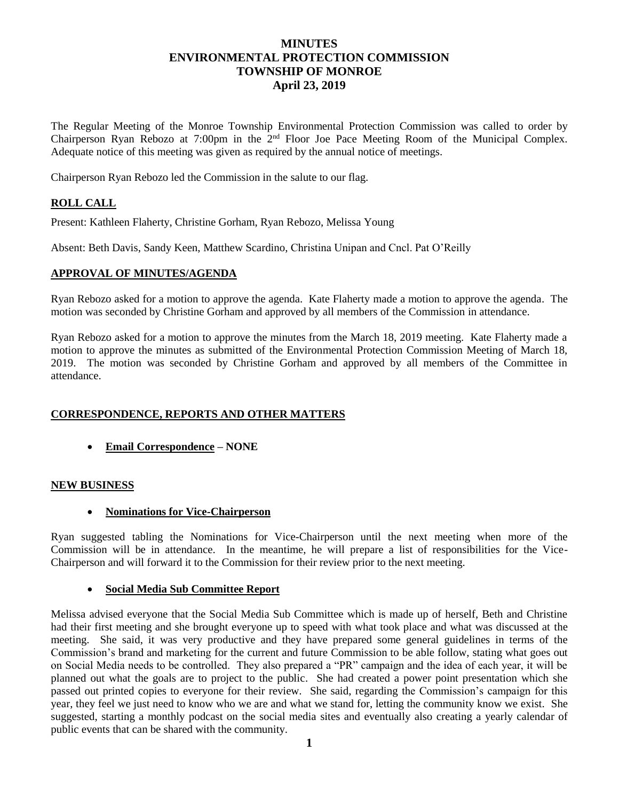# **MINUTES ENVIRONMENTAL PROTECTION COMMISSION TOWNSHIP OF MONROE April 23, 2019**

The Regular Meeting of the Monroe Township Environmental Protection Commission was called to order by Chairperson Ryan Rebozo at 7:00pm in the 2nd Floor Joe Pace Meeting Room of the Municipal Complex. Adequate notice of this meeting was given as required by the annual notice of meetings.

Chairperson Ryan Rebozo led the Commission in the salute to our flag.

## **ROLL CALL**

Present: Kathleen Flaherty, Christine Gorham, Ryan Rebozo, Melissa Young

Absent: Beth Davis, Sandy Keen, Matthew Scardino, Christina Unipan and Cncl. Pat O'Reilly

#### **APPROVAL OF MINUTES/AGENDA**

Ryan Rebozo asked for a motion to approve the agenda. Kate Flaherty made a motion to approve the agenda. The motion was seconded by Christine Gorham and approved by all members of the Commission in attendance.

Ryan Rebozo asked for a motion to approve the minutes from the March 18, 2019 meeting. Kate Flaherty made a motion to approve the minutes as submitted of the Environmental Protection Commission Meeting of March 18, 2019. The motion was seconded by Christine Gorham and approved by all members of the Committee in attendance.

### **CORRESPONDENCE, REPORTS AND OTHER MATTERS**

**Email Correspondence – NONE**

### **NEW BUSINESS**

**Nominations for Vice-Chairperson**

Ryan suggested tabling the Nominations for Vice-Chairperson until the next meeting when more of the Commission will be in attendance. In the meantime, he will prepare a list of responsibilities for the Vice-Chairperson and will forward it to the Commission for their review prior to the next meeting.

### **Social Media Sub Committee Report**

Melissa advised everyone that the Social Media Sub Committee which is made up of herself, Beth and Christine had their first meeting and she brought everyone up to speed with what took place and what was discussed at the meeting. She said, it was very productive and they have prepared some general guidelines in terms of the Commission's brand and marketing for the current and future Commission to be able follow, stating what goes out on Social Media needs to be controlled. They also prepared a "PR" campaign and the idea of each year, it will be planned out what the goals are to project to the public. She had created a power point presentation which she passed out printed copies to everyone for their review. She said, regarding the Commission's campaign for this year, they feel we just need to know who we are and what we stand for, letting the community know we exist. She suggested, starting a monthly podcast on the social media sites and eventually also creating a yearly calendar of public events that can be shared with the community.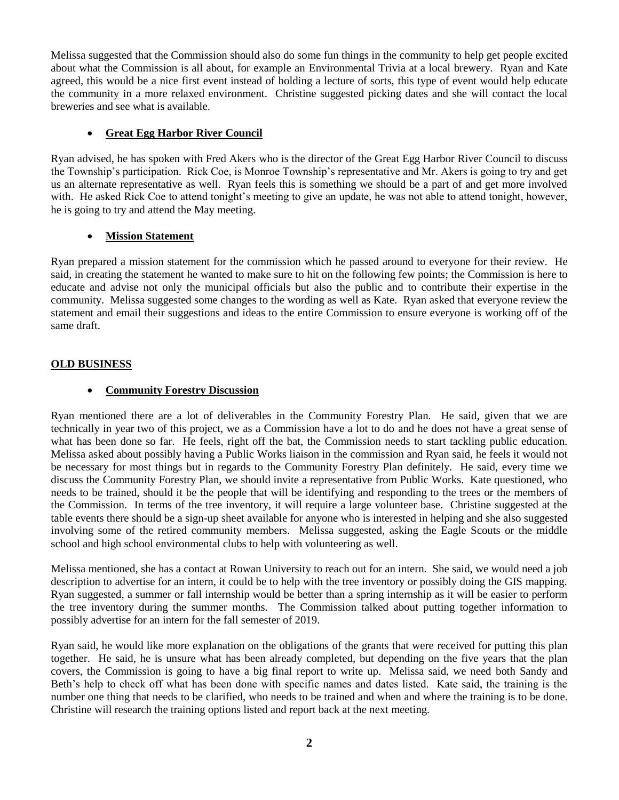Melissa suggested that the Commission should also do some fun things in the community to help get people excited about what the Commission is all about, for example an Environmental Trivia at a local brewery. Ryan and Kate agreed, this would be a nice first event instead of holding a lecture of sorts, this type of event would help educate the community in a more relaxed environment. Christine suggested picking dates and she will contact the local breweries and see what is available.

## **Great Egg Harbor River Council**

Ryan advised, he has spoken with Fred Akers who is the director of the Great Egg Harbor River Council to discuss the Township's participation. Rick Coe, is Monroe Township's representative and Mr. Akers is going to try and get us an alternate representative as well. Ryan feels this is something we should be a part of and get more involved with. He asked Rick Coe to attend tonight's meeting to give an update, he was not able to attend tonight, however, he is going to try and attend the May meeting.

# **Mission Statement**

Ryan prepared a mission statement for the commission which he passed around to everyone for their review. He said, in creating the statement he wanted to make sure to hit on the following few points; the Commission is here to educate and advise not only the municipal officials but also the public and to contribute their expertise in the community. Melissa suggested some changes to the wording as well as Kate. Ryan asked that everyone review the statement and email their suggestions and ideas to the entire Commission to ensure everyone is working off of the same draft.

# **OLD BUSINESS**

# **Community Forestry Discussion**

Ryan mentioned there are a lot of deliverables in the Community Forestry Plan. He said, given that we are technically in year two of this project, we as a Commission have a lot to do and he does not have a great sense of what has been done so far. He feels, right off the bat, the Commission needs to start tackling public education. Melissa asked about possibly having a Public Works liaison in the commission and Ryan said, he feels it would not be necessary for most things but in regards to the Community Forestry Plan definitely. He said, every time we discuss the Community Forestry Plan, we should invite a representative from Public Works. Kate questioned, who needs to be trained, should it be the people that will be identifying and responding to the trees or the members of the Commission. In terms of the tree inventory, it will require a large volunteer base. Christine suggested at the table events there should be a sign-up sheet available for anyone who is interested in helping and she also suggested involving some of the retired community members. Melissa suggested, asking the Eagle Scouts or the middle school and high school environmental clubs to help with volunteering as well.

Melissa mentioned, she has a contact at Rowan University to reach out for an intern. She said, we would need a job description to advertise for an intern, it could be to help with the tree inventory or possibly doing the GIS mapping. Ryan suggested, a summer or fall internship would be better than a spring internship as it will be easier to perform the tree inventory during the summer months. The Commission talked about putting together information to possibly advertise for an intern for the fall semester of 2019.

Ryan said, he would like more explanation on the obligations of the grants that were received for putting this plan together. He said, he is unsure what has been already completed, but depending on the five years that the plan covers, the Commission is going to have a big final report to write up. Melissa said, we need both Sandy and Beth's help to check off what has been done with specific names and dates listed. Kate said, the training is the number one thing that needs to be clarified, who needs to be trained and when and where the training is to be done. Christine will research the training options listed and report back at the next meeting.